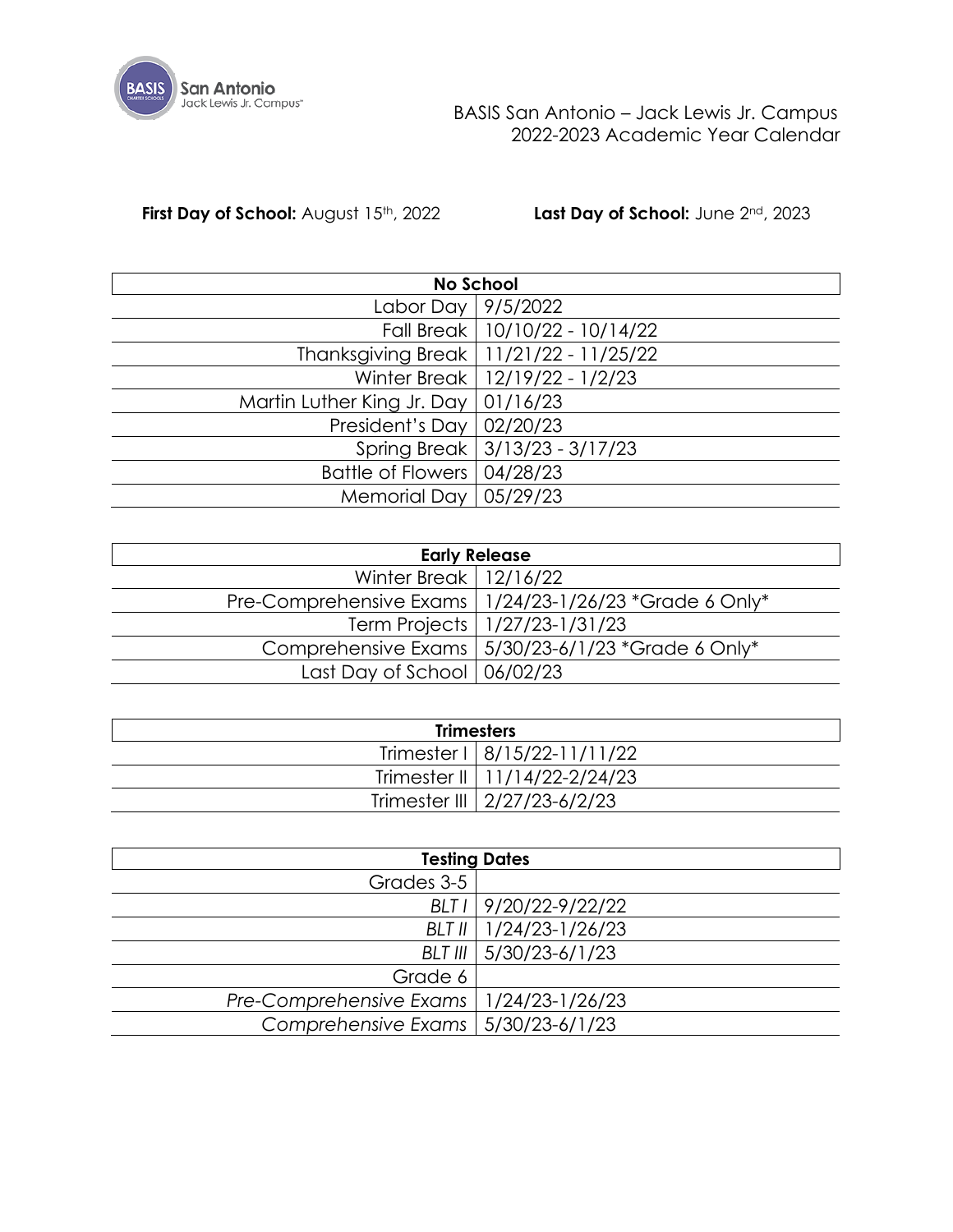

**First Day of School:** August 15<sup>th</sup>, 2022 **Last Day of School:** June 2<sup>nd</sup>, 2023

|                                       | <b>No School</b>                         |
|---------------------------------------|------------------------------------------|
| Labor Day   9/5/2022                  |                                          |
|                                       | Fall Break   10/10/22 - 10/14/22         |
|                                       | Thanksgiving Break   11/21/22 - 11/25/22 |
|                                       | Winter Break   12/19/22 - 1/2/23         |
| Martin Luther King Jr. Day   01/16/23 |                                          |
| President's Day   $02/20/23$          |                                          |
|                                       | Spring Break 3/13/23 - 3/17/23           |
| Battle of Flowers   04/28/23          |                                          |
| Memorial Day   05/29/23               |                                          |

| <b>Early Release</b>                      |                                                          |  |  |  |  |  |  |  |  |  |  |
|-------------------------------------------|----------------------------------------------------------|--|--|--|--|--|--|--|--|--|--|
| Winter Break   $12/16/22$                 |                                                          |  |  |  |  |  |  |  |  |  |  |
|                                           | Pre-Comprehensive Exams   1/24/23-1/26/23 *Grade 6 Only* |  |  |  |  |  |  |  |  |  |  |
|                                           | Term Projects   1/27/23-1/31/23                          |  |  |  |  |  |  |  |  |  |  |
|                                           | Comprehensive Exams   5/30/23-6/1/23 *Grade 6 Only*      |  |  |  |  |  |  |  |  |  |  |
| Last Day of School $\vert 06/02/23 \vert$ |                                                          |  |  |  |  |  |  |  |  |  |  |

| <b>Trimesters</b> |                                 |  |  |  |  |  |  |  |  |  |  |
|-------------------|---------------------------------|--|--|--|--|--|--|--|--|--|--|
|                   | Trimester 1   8/15/22-11/11/22  |  |  |  |  |  |  |  |  |  |  |
|                   | Trimester II   11/14/22-2/24/23 |  |  |  |  |  |  |  |  |  |  |
|                   | Trimester III   2/27/23-6/2/23  |  |  |  |  |  |  |  |  |  |  |

|                                           | <b>Testing Dates</b>     |
|-------------------------------------------|--------------------------|
| Grades 3-5                                |                          |
|                                           | BLT I 9/20/22-9/22/22    |
|                                           | BLT II   1/24/23-1/26/23 |
|                                           | BLT III   5/30/23-6/1/23 |
| Grade 6                                   |                          |
| Pre-Comprehensive Exams   1/24/23-1/26/23 |                          |
| Comprehensive Exams   5/30/23-6/1/23      |                          |